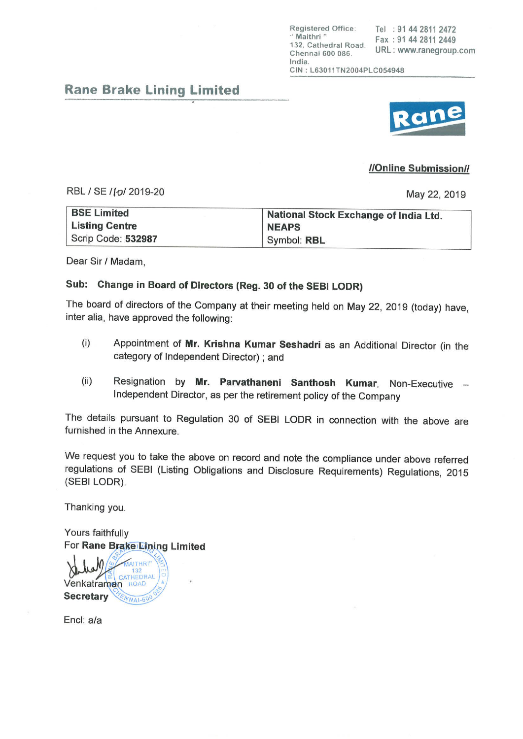Registered Office: Tel : 91 44 2811 2472<br>"Maithri" Fax: 91 44 2811 2449 132, Cathedral Road. 132, Gamedral Road. URL: www.ranegroup.com lndia. CIN: L63011TN2004PLC054948

# Rane Brake Lining Limited

### //Online Submission//

RBL / SE /*[o]* 2019-20 **May 22, 2019** 

| <b>BSE Limited</b>    | National Stock Exchange of India Ltd. |
|-----------------------|---------------------------------------|
| <b>Listing Centre</b> | <b>NEAPS</b>                          |
| Scrip Code: 532987    | Symbol: RBL                           |

Dear Sir / Madam,

## Sub: Change in Board of Directors (Reg. 30 of the SEBI LODR)

The board of directors of the Company at their meeting held on May 22, 2019 (today) have, inter alia, have approved the following:

- (i) Appointment of Mr. Krishna Kumar Seshadri as an Additional Director (in the category of lndependent Director) ; and
- (ii) Resignation by Mr. Parvathaneni Santhosh Kumar, Non-Executive lndependent Director, as per the retirement policy of the company

The details pursuant to Regulation 30 of SEBI LODR in connection with the above are furnished in the Annexure.

We request you to take the above on record and note the compliance under above referred regulations of SEBI (Listing Obligations and Disclosure Requirements) Regulations, 2015<br>(SEBI LODR).

Thanking you.

Yours faithfully For Rane Brake Lining Limited

**MAITHRI'** CATHEDRAL Venkatraman ROAD **Secretary NNA1-60** 

Encl: a/a